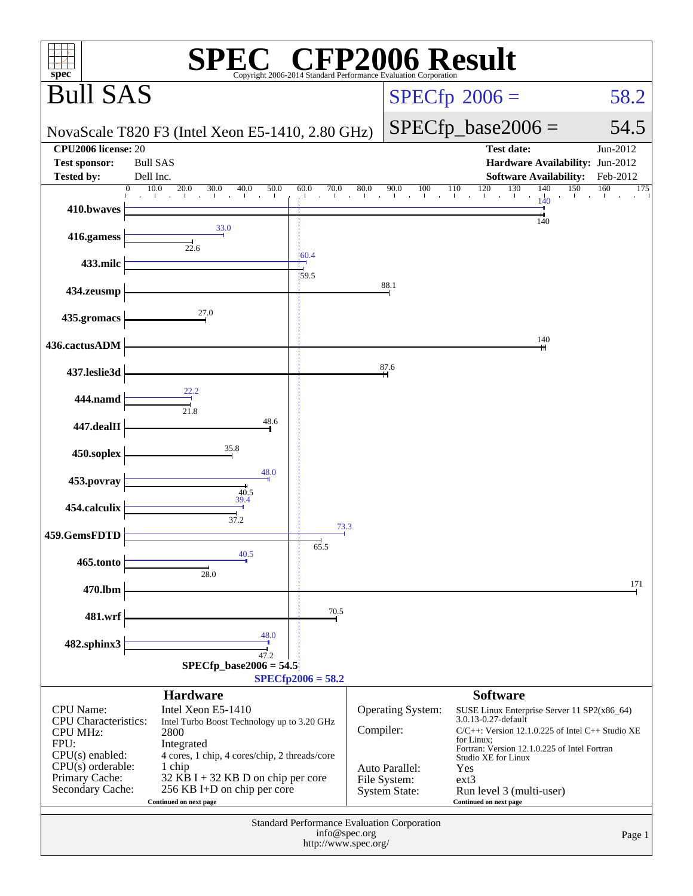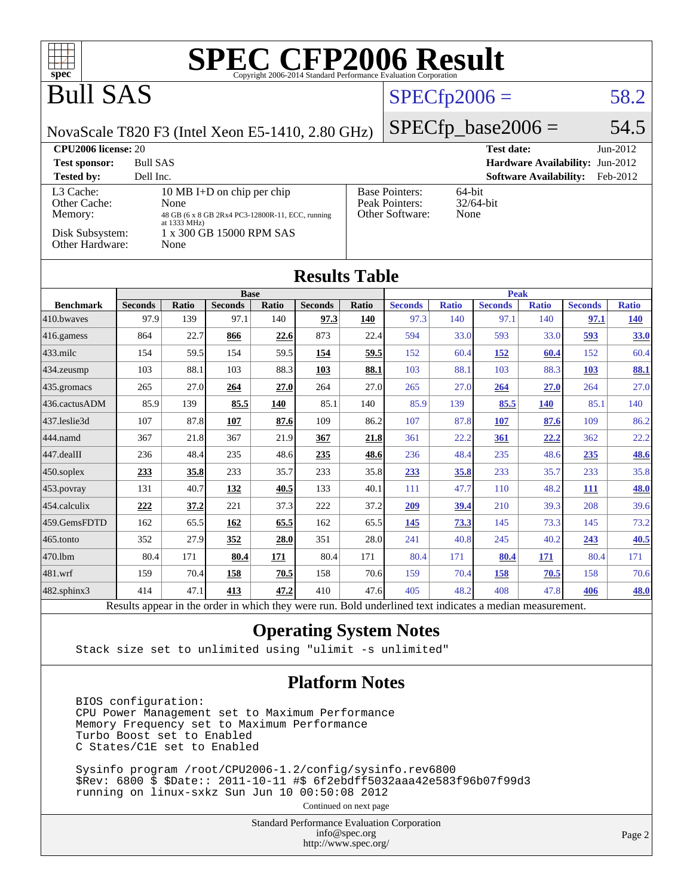| $spec^*$                                                |                                                                                                                       |                      |                                                                                                            |              |                       |              | <b>SPEC CFP2006 Result</b><br>Copyright 2006-2014 Standard Performance Evaluation Corporation            |                |                      |                               |                                 |              |
|---------------------------------------------------------|-----------------------------------------------------------------------------------------------------------------------|----------------------|------------------------------------------------------------------------------------------------------------|--------------|-----------------------|--------------|----------------------------------------------------------------------------------------------------------|----------------|----------------------|-------------------------------|---------------------------------|--------------|
| <b>Bull SAS</b>                                         |                                                                                                                       |                      |                                                                                                            |              |                       |              | $SPECfp2006 =$                                                                                           |                |                      |                               |                                 | 58.2         |
| NovaScale T820 F3 (Intel Xeon E5-1410, 2.80 GHz)        |                                                                                                                       |                      |                                                                                                            |              |                       |              |                                                                                                          |                | $SPECfp\_base2006 =$ |                               |                                 | 54.5         |
| CPU2006 license: 20                                     |                                                                                                                       |                      |                                                                                                            |              |                       |              |                                                                                                          |                | <b>Test date:</b>    |                               |                                 | Jun-2012     |
| <b>Test sponsor:</b>                                    | <b>Bull SAS</b>                                                                                                       |                      |                                                                                                            |              |                       |              |                                                                                                          |                |                      |                               | Hardware Availability: Jun-2012 |              |
| <b>Tested by:</b>                                       | Dell Inc.                                                                                                             |                      |                                                                                                            |              |                       |              |                                                                                                          |                |                      | <b>Software Availability:</b> |                                 | Feb-2012     |
| L3 Cache:<br>Other Cache:<br>Memory:<br>Disk Subsystem: |                                                                                                                       | None<br>at 1333 MHz) | 10 MB I+D on chip per chip<br>48 GB (6 x 8 GB 2Rx4 PC3-12800R-11, ECC, running<br>1 x 300 GB 15000 RPM SAS |              |                       |              | <b>Base Pointers:</b><br>Peak Pointers:<br>Other Software:                                               | 64-bit<br>None | 32/64-bit            |                               |                                 |              |
| Other Hardware:                                         |                                                                                                                       | None                 |                                                                                                            |              |                       |              |                                                                                                          |                |                      |                               |                                 |              |
|                                                         |                                                                                                                       |                      |                                                                                                            |              | <b>Results Table</b>  |              |                                                                                                          |                |                      |                               |                                 |              |
|                                                         |                                                                                                                       |                      | <b>Base</b>                                                                                                |              |                       |              |                                                                                                          |                | <b>Peak</b>          |                               |                                 |              |
| <b>Benchmark</b>                                        | <b>Seconds</b>                                                                                                        | <b>Ratio</b>         | <b>Seconds</b>                                                                                             | <b>Ratio</b> | <b>Seconds</b>        | <b>Ratio</b> | <b>Seconds</b>                                                                                           | <b>Ratio</b>   | <b>Seconds</b>       | <b>Ratio</b>                  | <b>Seconds</b>                  | <b>Ratio</b> |
| 410.bwaves                                              | 97.9                                                                                                                  | 139                  | 97.1                                                                                                       | 140          | 97.3                  | 140          | 97.3                                                                                                     | 140            | 97.1                 | 140                           | 97.1                            | <b>140</b>   |
| $416$ .gamess                                           | 864                                                                                                                   | 22.7                 | 866                                                                                                        | 22.6         | 873                   | 22.4         | 594                                                                                                      | 33.0           | 593                  | 33.0                          | 593                             | <b>33.0</b>  |
| $433$ .milc                                             | 154                                                                                                                   | 59.5                 | 154                                                                                                        | 59.5         | 154                   | 59.5         | 152                                                                                                      | 60.4           | <u>152</u>           | 60.4                          | 152                             | 60.4         |
| $434$ . zeusmp                                          | 103                                                                                                                   | 88.1                 | 103                                                                                                        | 88.3         | 103                   | 88.1         | 103                                                                                                      | 88.1           | 103                  | 88.3                          | <b>103</b>                      | 88.1         |
| 435.gromacs                                             | 265                                                                                                                   | 27.0                 | 264                                                                                                        | 27.0         | 264                   | 27.0         | 265                                                                                                      | 27.0           | 264                  | 27.0                          | 264                             | 27.0         |
| 436.cactusADM                                           | 85.9                                                                                                                  | 139                  | 85.5                                                                                                       | 140          | 85.1                  | 140          | 85.9                                                                                                     | 139            | 85.5                 | <b>140</b>                    | 85.1                            | 140          |
| 437.leslie3d                                            | 107                                                                                                                   | 87.8                 | 107                                                                                                        | 87.6         | 109                   | 86.2         | 107                                                                                                      | 87.8           | 107                  | 87.6                          | 109                             | 86.2         |
| 444.namd                                                | 367                                                                                                                   | 21.8                 | 367                                                                                                        | 21.9         | 367                   | 21.8         | 361                                                                                                      | 22.2           | 361                  | 22,2                          | 362                             | 22.2         |
| $ 447.\text{dealII}$                                    | 236                                                                                                                   | 48.4                 | 235                                                                                                        | 48.6         | 235                   | 48.6         | 236                                                                                                      | 48.4           | 235                  | 48.6                          | 235                             | 48.6         |
| $450$ .soplex                                           | 233                                                                                                                   | 35.8                 | 233                                                                                                        | 35.7         | 233                   | 35.8         | 233                                                                                                      | 35.8           | 233                  | 35.7                          | 233                             | 35.8         |
| $ 453$ . povray                                         | 131                                                                                                                   | 40.7                 | 132                                                                                                        | 40.5         | 133                   | 40.1         | 111                                                                                                      | 47.7           | <b>110</b>           | 48.2                          | 111                             | 48.0         |
| 454.calculix                                            | 222                                                                                                                   | 37.2                 | 221                                                                                                        | 37.3         | 222                   | 37.2         | 209                                                                                                      | 39.4           | 210                  | 39.3                          | 208                             | 39.6         |
| 459.GemsFDTD                                            | 162                                                                                                                   | 65.5                 | 162                                                                                                        | 65.5         | 162                   | 65.5         | 145                                                                                                      | <u>73.3</u>    | 145                  | 73.3                          | 145                             | 73.2         |
| $465$ .tonto                                            | 352                                                                                                                   | 27.9                 | 352                                                                                                        | 28.0         | 351                   | 28.0         | 241                                                                                                      | 40.8           | 245                  | 40.2                          | 243                             | 40.5         |
| 470.1bm                                                 | 80.4                                                                                                                  | 171                  | 80.4                                                                                                       | 171          | 80.4                  | 171          | 80.4                                                                                                     | 171            | 80.4                 | 171                           | 80.4                            | 171          |
| 481.wrf                                                 | 159                                                                                                                   | 70.4                 | 158                                                                                                        | 70.5         | 158                   | 70.6         | 159                                                                                                      | 70.4           | <b>158</b>           | 70.5                          | 158                             | 70.6         |
| $ 482.\mathrm{sphinx}$                                  | 414                                                                                                                   | 47.1                 | 413                                                                                                        | 47.2         | 410                   | 47.6         | 405                                                                                                      | 48.2           | 408                  | 47.8                          | 406                             | <b>48.0</b>  |
|                                                         |                                                                                                                       |                      |                                                                                                            |              |                       |              | Results appear in the order in which they were run. Bold underlined text indicates a median measurement. |                |                      |                               |                                 |              |
|                                                         |                                                                                                                       |                      |                                                                                                            |              |                       |              | <b>Operating System Notes</b>                                                                            |                |                      |                               |                                 |              |
|                                                         |                                                                                                                       |                      |                                                                                                            |              |                       |              | Stack size set to unlimited using "ulimit -s unlimited"                                                  |                |                      |                               |                                 |              |
|                                                         | BIOS configuration:<br>CPU Power Management set to Maximum Performance<br>Memory Frequency set to Maximum Performance |                      |                                                                                                            |              | <b>Platform Notes</b> |              |                                                                                                          |                |                      |                               |                                 |              |
|                                                         | Turbo Boost set to Enabled<br>C States/C1E set to Enabled                                                             |                      |                                                                                                            |              |                       |              |                                                                                                          |                |                      |                               |                                 |              |

 Sysinfo program /root/CPU2006-1.2/config/sysinfo.rev6800 \$Rev: 6800 \$ \$Date:: 2011-10-11 #\$ 6f2ebdff5032aaa42e583f96b07f99d3 running on linux-sxkz Sun Jun 10 00:50:08 2012

Continued on next page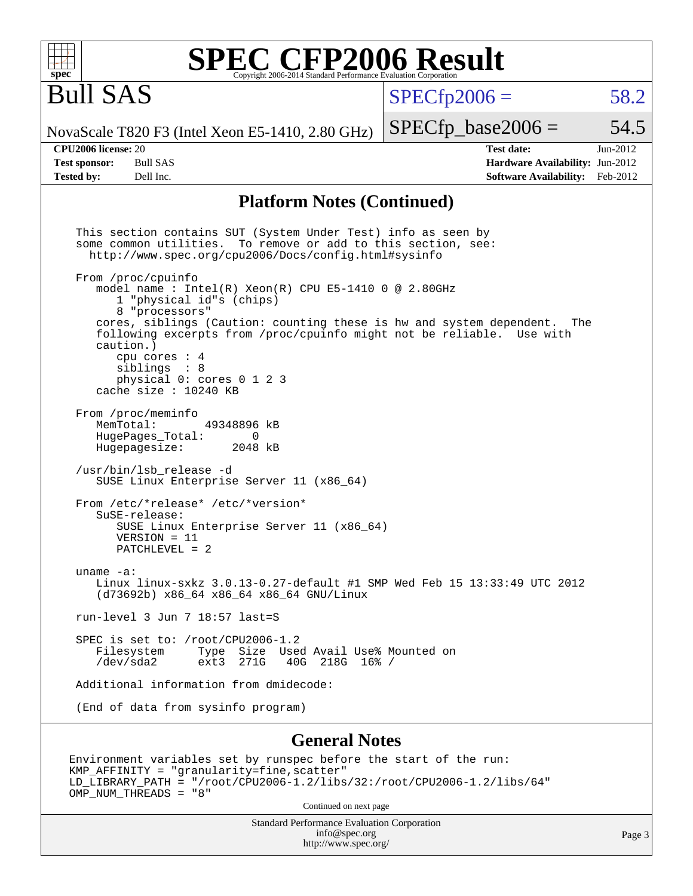| $spec^*$                                                         | <b>SPEC CFP2006 Result</b><br>Copyright 2006-2014 Standard Performance Evaluation Corporation                                                                                                                                                                                                                                                                                                                                                                                                                                                                                                                                                                                                                                                                                                                                                                                                                                                                                                                                                                                                                                                                                                                                                                                       |                                                                                       |                        |
|------------------------------------------------------------------|-------------------------------------------------------------------------------------------------------------------------------------------------------------------------------------------------------------------------------------------------------------------------------------------------------------------------------------------------------------------------------------------------------------------------------------------------------------------------------------------------------------------------------------------------------------------------------------------------------------------------------------------------------------------------------------------------------------------------------------------------------------------------------------------------------------------------------------------------------------------------------------------------------------------------------------------------------------------------------------------------------------------------------------------------------------------------------------------------------------------------------------------------------------------------------------------------------------------------------------------------------------------------------------|---------------------------------------------------------------------------------------|------------------------|
| <b>Bull SAS</b>                                                  |                                                                                                                                                                                                                                                                                                                                                                                                                                                                                                                                                                                                                                                                                                                                                                                                                                                                                                                                                                                                                                                                                                                                                                                                                                                                                     | $SPECfp2006 =$                                                                        | 58.2                   |
|                                                                  | NovaScale T820 F3 (Intel Xeon E5-1410, 2.80 GHz)                                                                                                                                                                                                                                                                                                                                                                                                                                                                                                                                                                                                                                                                                                                                                                                                                                                                                                                                                                                                                                                                                                                                                                                                                                    | $SPECfp\_base2006 =$                                                                  | 54.5                   |
| CPU2006 license: 20<br><b>Test sponsor:</b><br><b>Tested by:</b> | <b>Bull SAS</b><br>Dell Inc.                                                                                                                                                                                                                                                                                                                                                                                                                                                                                                                                                                                                                                                                                                                                                                                                                                                                                                                                                                                                                                                                                                                                                                                                                                                        | <b>Test date:</b><br>Hardware Availability: Jun-2012<br><b>Software Availability:</b> | $Jun-2012$<br>Feb-2012 |
|                                                                  | <b>Platform Notes (Continued)</b>                                                                                                                                                                                                                                                                                                                                                                                                                                                                                                                                                                                                                                                                                                                                                                                                                                                                                                                                                                                                                                                                                                                                                                                                                                                   |                                                                                       |                        |
| uname $-a$ :                                                     | This section contains SUT (System Under Test) info as seen by<br>some common utilities. To remove or add to this section, see:<br>http://www.spec.org/cpu2006/Docs/config.html#sysinfo<br>From /proc/cpuinfo<br>model name: $Intel(R)$ Xeon(R) CPU E5-1410 0 @ 2.80GHz<br>1 "physical id"s (chips)<br>8 "processors"<br>cores, siblings (Caution: counting these is hw and system dependent. The<br>following excerpts from /proc/cpuinfo might not be reliable. Use with<br>caution.)<br>cpu cores : 4<br>siblings : 8<br>physical 0: cores 0 1 2 3<br>cache size : 10240 KB<br>From /proc/meminfo<br>MemTotal:<br>49348896 kB<br>HugePages_Total:<br>0<br>Hugepagesize:<br>2048 kB<br>/usr/bin/lsb_release -d<br>SUSE Linux Enterprise Server 11 (x86_64)<br>From /etc/*release* /etc/*version*<br>SuSE-release:<br>SUSE Linux Enterprise Server 11 (x86_64)<br>$VERSION = 11$<br>PATCHLEVEL = 2<br>Linux linux-sxkz 3.0.13-0.27-default #1 SMP Wed Feb 15 13:33:49 UTC 2012<br>(d73692b) x86_64 x86_64 x86_64 GNU/Linux<br>run-level 3 Jun 7 18:57 last=S<br>SPEC is set to: /root/CPU2006-1.2<br>Filesystem<br>Type Size Used Avail Use% Mounted on<br>/dev/sda2<br>ext3 271G<br>40G 218G 16% /<br>Additional information from dmidecode:<br>(End of data from sysinfo program) |                                                                                       |                        |
|                                                                  | <b>General Notes</b>                                                                                                                                                                                                                                                                                                                                                                                                                                                                                                                                                                                                                                                                                                                                                                                                                                                                                                                                                                                                                                                                                                                                                                                                                                                                |                                                                                       |                        |
|                                                                  | Environment variables set by runspec before the start of the run:<br>KMP_AFFINITY = "granularity=fine, scatter"<br>LD_LIBRARY_PATH = "/root/CPU2006-1.2/libs/32:/root/CPU2006-1.2/libs/64"<br>OMP_NUM_THREADS = "8"                                                                                                                                                                                                                                                                                                                                                                                                                                                                                                                                                                                                                                                                                                                                                                                                                                                                                                                                                                                                                                                                 |                                                                                       |                        |

Continued on next page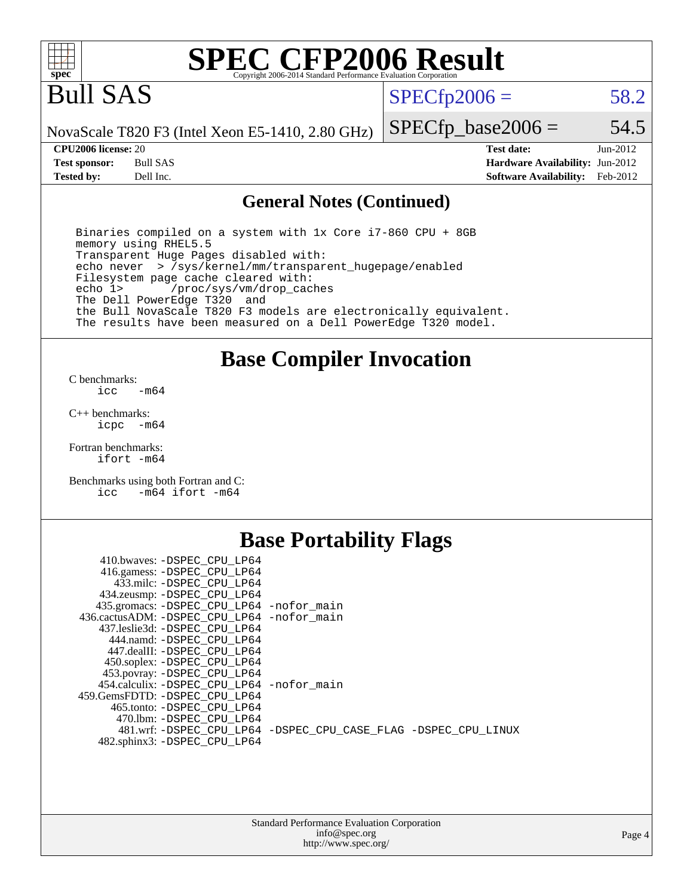

# **[SPEC CFP2006 Result](http://www.spec.org/auto/cpu2006/Docs/result-fields.html#SPECCFP2006Result)**

# Bull SAS

 $SPECfp2006 = 58.2$  $SPECfp2006 = 58.2$ 

NovaScale T820 F3 (Intel Xeon E5-1410, 2.80 GHz)

**[Tested by:](http://www.spec.org/auto/cpu2006/Docs/result-fields.html#Testedby)** Dell Inc. **[Software Availability:](http://www.spec.org/auto/cpu2006/Docs/result-fields.html#SoftwareAvailability)** Feb-2012

**[CPU2006 license:](http://www.spec.org/auto/cpu2006/Docs/result-fields.html#CPU2006license)** 20 **[Test date:](http://www.spec.org/auto/cpu2006/Docs/result-fields.html#Testdate)** Jun-2012 **[Test sponsor:](http://www.spec.org/auto/cpu2006/Docs/result-fields.html#Testsponsor)** Bull SAS **[Hardware Availability:](http://www.spec.org/auto/cpu2006/Docs/result-fields.html#HardwareAvailability)** Jun-2012

 $SPECfp\_base2006 = 54.5$ 

### **[General Notes \(Continued\)](http://www.spec.org/auto/cpu2006/Docs/result-fields.html#GeneralNotes)**

 Binaries compiled on a system with 1x Core i7-860 CPU + 8GB memory using RHEL5.5 Transparent Huge Pages disabled with: echo never > /sys/kernel/mm/transparent\_hugepage/enabled Filesystem page cache cleared with: echo 1> /proc/sys/vm/drop\_caches The Dell PowerEdge T320 and the Bull NovaScale T820 F3 models are electronically equivalent. The results have been measured on a Dell PowerEdge T320 model.

### **[Base Compiler Invocation](http://www.spec.org/auto/cpu2006/Docs/result-fields.html#BaseCompilerInvocation)**

[C benchmarks](http://www.spec.org/auto/cpu2006/Docs/result-fields.html#Cbenchmarks):  $-m64$ 

[C++ benchmarks:](http://www.spec.org/auto/cpu2006/Docs/result-fields.html#CXXbenchmarks) [icpc -m64](http://www.spec.org/cpu2006/results/res2012q3/cpu2006-20120730-23943.flags.html#user_CXXbase_intel_icpc_64bit_bedb90c1146cab66620883ef4f41a67e)

[Fortran benchmarks](http://www.spec.org/auto/cpu2006/Docs/result-fields.html#Fortranbenchmarks): [ifort -m64](http://www.spec.org/cpu2006/results/res2012q3/cpu2006-20120730-23943.flags.html#user_FCbase_intel_ifort_64bit_ee9d0fb25645d0210d97eb0527dcc06e)

[Benchmarks using both Fortran and C](http://www.spec.org/auto/cpu2006/Docs/result-fields.html#BenchmarksusingbothFortranandC): [icc -m64](http://www.spec.org/cpu2006/results/res2012q3/cpu2006-20120730-23943.flags.html#user_CC_FCbase_intel_icc_64bit_0b7121f5ab7cfabee23d88897260401c) [ifort -m64](http://www.spec.org/cpu2006/results/res2012q3/cpu2006-20120730-23943.flags.html#user_CC_FCbase_intel_ifort_64bit_ee9d0fb25645d0210d97eb0527dcc06e)

## **[Base Portability Flags](http://www.spec.org/auto/cpu2006/Docs/result-fields.html#BasePortabilityFlags)**

| 410.bwaves: -DSPEC CPU LP64<br>416.gamess: - DSPEC_CPU_LP64<br>433.milc: -DSPEC CPU LP64 |                                                                |
|------------------------------------------------------------------------------------------|----------------------------------------------------------------|
| 434.zeusmp: -DSPEC_CPU_LP64                                                              |                                                                |
| 435.gromacs: -DSPEC_CPU_LP64 -nofor_main                                                 |                                                                |
| 436.cactusADM: -DSPEC CPU LP64 -nofor main                                               |                                                                |
| 437.leslie3d: -DSPEC CPU LP64                                                            |                                                                |
| 444.namd: - DSPEC CPU LP64                                                               |                                                                |
| 447.dealII: -DSPEC CPU LP64                                                              |                                                                |
| 450.soplex: -DSPEC_CPU_LP64                                                              |                                                                |
| 453.povray: -DSPEC_CPU_LP64                                                              |                                                                |
| 454.calculix: - DSPEC CPU LP64 - nofor main                                              |                                                                |
| 459. GemsFDTD: - DSPEC CPU LP64                                                          |                                                                |
| 465.tonto: -DSPEC CPU LP64                                                               |                                                                |
| 470.1bm: - DSPEC CPU LP64                                                                |                                                                |
|                                                                                          | 481.wrf: -DSPEC_CPU_LP64 -DSPEC_CPU_CASE_FLAG -DSPEC_CPU_LINUX |
| 482.sphinx3: -DSPEC_CPU_LP64                                                             |                                                                |
|                                                                                          |                                                                |

| <b>Standard Performance Evaluation Corporation</b> |
|----------------------------------------------------|
| info@spec.org                                      |
| http://www.spec.org/                               |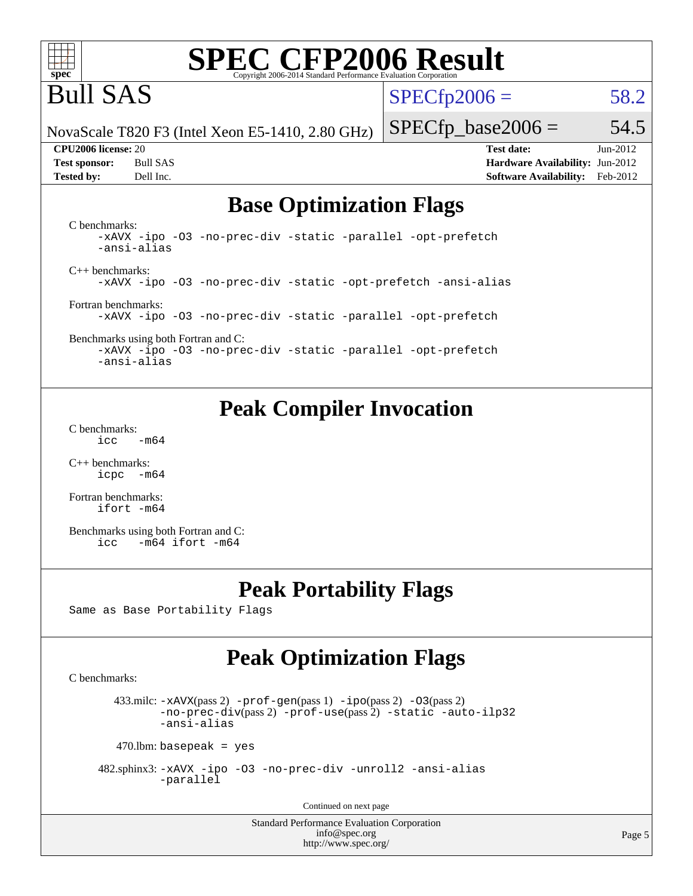

# **[SPEC CFP2006 Result](http://www.spec.org/auto/cpu2006/Docs/result-fields.html#SPECCFP2006Result)**

# Bull SAS

 $SPECTp2006 = 58.2$ 

NovaScale T820 F3 (Intel Xeon E5-1410, 2.80 GHz)

**[Tested by:](http://www.spec.org/auto/cpu2006/Docs/result-fields.html#Testedby)** Dell Inc. **[Software Availability:](http://www.spec.org/auto/cpu2006/Docs/result-fields.html#SoftwareAvailability)** Feb-2012

 $SPECfp\_base2006 = 54.5$ **[CPU2006 license:](http://www.spec.org/auto/cpu2006/Docs/result-fields.html#CPU2006license)** 20 **[Test date:](http://www.spec.org/auto/cpu2006/Docs/result-fields.html#Testdate)** Jun-2012 **[Test sponsor:](http://www.spec.org/auto/cpu2006/Docs/result-fields.html#Testsponsor)** Bull SAS **[Hardware Availability:](http://www.spec.org/auto/cpu2006/Docs/result-fields.html#HardwareAvailability)** Jun-2012

# **[Base Optimization Flags](http://www.spec.org/auto/cpu2006/Docs/result-fields.html#BaseOptimizationFlags)**

[C benchmarks](http://www.spec.org/auto/cpu2006/Docs/result-fields.html#Cbenchmarks): [-xAVX](http://www.spec.org/cpu2006/results/res2012q3/cpu2006-20120730-23943.flags.html#user_CCbase_f-xAVX) [-ipo](http://www.spec.org/cpu2006/results/res2012q3/cpu2006-20120730-23943.flags.html#user_CCbase_f-ipo) [-O3](http://www.spec.org/cpu2006/results/res2012q3/cpu2006-20120730-23943.flags.html#user_CCbase_f-O3) [-no-prec-div](http://www.spec.org/cpu2006/results/res2012q3/cpu2006-20120730-23943.flags.html#user_CCbase_f-no-prec-div) [-static](http://www.spec.org/cpu2006/results/res2012q3/cpu2006-20120730-23943.flags.html#user_CCbase_f-static) [-parallel](http://www.spec.org/cpu2006/results/res2012q3/cpu2006-20120730-23943.flags.html#user_CCbase_f-parallel) [-opt-prefetch](http://www.spec.org/cpu2006/results/res2012q3/cpu2006-20120730-23943.flags.html#user_CCbase_f-opt-prefetch) [-ansi-alias](http://www.spec.org/cpu2006/results/res2012q3/cpu2006-20120730-23943.flags.html#user_CCbase_f-ansi-alias) [C++ benchmarks:](http://www.spec.org/auto/cpu2006/Docs/result-fields.html#CXXbenchmarks) [-xAVX](http://www.spec.org/cpu2006/results/res2012q3/cpu2006-20120730-23943.flags.html#user_CXXbase_f-xAVX) [-ipo](http://www.spec.org/cpu2006/results/res2012q3/cpu2006-20120730-23943.flags.html#user_CXXbase_f-ipo) [-O3](http://www.spec.org/cpu2006/results/res2012q3/cpu2006-20120730-23943.flags.html#user_CXXbase_f-O3) [-no-prec-div](http://www.spec.org/cpu2006/results/res2012q3/cpu2006-20120730-23943.flags.html#user_CXXbase_f-no-prec-div) [-static](http://www.spec.org/cpu2006/results/res2012q3/cpu2006-20120730-23943.flags.html#user_CXXbase_f-static) [-opt-prefetch](http://www.spec.org/cpu2006/results/res2012q3/cpu2006-20120730-23943.flags.html#user_CXXbase_f-opt-prefetch) [-ansi-alias](http://www.spec.org/cpu2006/results/res2012q3/cpu2006-20120730-23943.flags.html#user_CXXbase_f-ansi-alias) [Fortran benchmarks](http://www.spec.org/auto/cpu2006/Docs/result-fields.html#Fortranbenchmarks): [-xAVX](http://www.spec.org/cpu2006/results/res2012q3/cpu2006-20120730-23943.flags.html#user_FCbase_f-xAVX) [-ipo](http://www.spec.org/cpu2006/results/res2012q3/cpu2006-20120730-23943.flags.html#user_FCbase_f-ipo) [-O3](http://www.spec.org/cpu2006/results/res2012q3/cpu2006-20120730-23943.flags.html#user_FCbase_f-O3) [-no-prec-div](http://www.spec.org/cpu2006/results/res2012q3/cpu2006-20120730-23943.flags.html#user_FCbase_f-no-prec-div) [-static](http://www.spec.org/cpu2006/results/res2012q3/cpu2006-20120730-23943.flags.html#user_FCbase_f-static) [-parallel](http://www.spec.org/cpu2006/results/res2012q3/cpu2006-20120730-23943.flags.html#user_FCbase_f-parallel) [-opt-prefetch](http://www.spec.org/cpu2006/results/res2012q3/cpu2006-20120730-23943.flags.html#user_FCbase_f-opt-prefetch)

[Benchmarks using both Fortran and C](http://www.spec.org/auto/cpu2006/Docs/result-fields.html#BenchmarksusingbothFortranandC): [-xAVX](http://www.spec.org/cpu2006/results/res2012q3/cpu2006-20120730-23943.flags.html#user_CC_FCbase_f-xAVX) [-ipo](http://www.spec.org/cpu2006/results/res2012q3/cpu2006-20120730-23943.flags.html#user_CC_FCbase_f-ipo) [-O3](http://www.spec.org/cpu2006/results/res2012q3/cpu2006-20120730-23943.flags.html#user_CC_FCbase_f-O3) [-no-prec-div](http://www.spec.org/cpu2006/results/res2012q3/cpu2006-20120730-23943.flags.html#user_CC_FCbase_f-no-prec-div) [-static](http://www.spec.org/cpu2006/results/res2012q3/cpu2006-20120730-23943.flags.html#user_CC_FCbase_f-static) [-parallel](http://www.spec.org/cpu2006/results/res2012q3/cpu2006-20120730-23943.flags.html#user_CC_FCbase_f-parallel) [-opt-prefetch](http://www.spec.org/cpu2006/results/res2012q3/cpu2006-20120730-23943.flags.html#user_CC_FCbase_f-opt-prefetch) [-ansi-alias](http://www.spec.org/cpu2006/results/res2012q3/cpu2006-20120730-23943.flags.html#user_CC_FCbase_f-ansi-alias)

# **[Peak Compiler Invocation](http://www.spec.org/auto/cpu2006/Docs/result-fields.html#PeakCompilerInvocation)**

[C benchmarks](http://www.spec.org/auto/cpu2006/Docs/result-fields.html#Cbenchmarks):  $\text{icc}$  -m64

[C++ benchmarks:](http://www.spec.org/auto/cpu2006/Docs/result-fields.html#CXXbenchmarks) [icpc -m64](http://www.spec.org/cpu2006/results/res2012q3/cpu2006-20120730-23943.flags.html#user_CXXpeak_intel_icpc_64bit_bedb90c1146cab66620883ef4f41a67e)

[Fortran benchmarks](http://www.spec.org/auto/cpu2006/Docs/result-fields.html#Fortranbenchmarks): [ifort -m64](http://www.spec.org/cpu2006/results/res2012q3/cpu2006-20120730-23943.flags.html#user_FCpeak_intel_ifort_64bit_ee9d0fb25645d0210d97eb0527dcc06e)

[Benchmarks using both Fortran and C](http://www.spec.org/auto/cpu2006/Docs/result-fields.html#BenchmarksusingbothFortranandC): [icc -m64](http://www.spec.org/cpu2006/results/res2012q3/cpu2006-20120730-23943.flags.html#user_CC_FCpeak_intel_icc_64bit_0b7121f5ab7cfabee23d88897260401c) [ifort -m64](http://www.spec.org/cpu2006/results/res2012q3/cpu2006-20120730-23943.flags.html#user_CC_FCpeak_intel_ifort_64bit_ee9d0fb25645d0210d97eb0527dcc06e)

## **[Peak Portability Flags](http://www.spec.org/auto/cpu2006/Docs/result-fields.html#PeakPortabilityFlags)**

Same as Base Portability Flags

# **[Peak Optimization Flags](http://www.spec.org/auto/cpu2006/Docs/result-fields.html#PeakOptimizationFlags)**

[C benchmarks](http://www.spec.org/auto/cpu2006/Docs/result-fields.html#Cbenchmarks):

433.milc:  $-x$ AVX(pass 2)  $-p$ rof-gen(pass 1)  $-p$ po(pass 2)  $-03$ (pass 2) [-no-prec-div](http://www.spec.org/cpu2006/results/res2012q3/cpu2006-20120730-23943.flags.html#user_peakPASS2_CFLAGSPASS2_LDFLAGS433_milc_f-no-prec-div)(pass 2) [-prof-use](http://www.spec.org/cpu2006/results/res2012q3/cpu2006-20120730-23943.flags.html#user_peakPASS2_CFLAGSPASS2_LDFLAGS433_milc_prof_use_bccf7792157ff70d64e32fe3e1250b55)(pass 2) [-static](http://www.spec.org/cpu2006/results/res2012q3/cpu2006-20120730-23943.flags.html#user_peakOPTIMIZE433_milc_f-static) [-auto-ilp32](http://www.spec.org/cpu2006/results/res2012q3/cpu2006-20120730-23943.flags.html#user_peakCOPTIMIZE433_milc_f-auto-ilp32) [-ansi-alias](http://www.spec.org/cpu2006/results/res2012q3/cpu2006-20120730-23943.flags.html#user_peakCOPTIMIZE433_milc_f-ansi-alias)

 $470$ .lbm: basepeak = yes

 482.sphinx3: [-xAVX](http://www.spec.org/cpu2006/results/res2012q3/cpu2006-20120730-23943.flags.html#user_peakOPTIMIZE482_sphinx3_f-xAVX) [-ipo](http://www.spec.org/cpu2006/results/res2012q3/cpu2006-20120730-23943.flags.html#user_peakOPTIMIZE482_sphinx3_f-ipo) [-O3](http://www.spec.org/cpu2006/results/res2012q3/cpu2006-20120730-23943.flags.html#user_peakOPTIMIZE482_sphinx3_f-O3) [-no-prec-div](http://www.spec.org/cpu2006/results/res2012q3/cpu2006-20120730-23943.flags.html#user_peakOPTIMIZE482_sphinx3_f-no-prec-div) [-unroll2](http://www.spec.org/cpu2006/results/res2012q3/cpu2006-20120730-23943.flags.html#user_peakCOPTIMIZE482_sphinx3_f-unroll_784dae83bebfb236979b41d2422d7ec2) [-ansi-alias](http://www.spec.org/cpu2006/results/res2012q3/cpu2006-20120730-23943.flags.html#user_peakCOPTIMIZE482_sphinx3_f-ansi-alias) [-parallel](http://www.spec.org/cpu2006/results/res2012q3/cpu2006-20120730-23943.flags.html#user_peakCOPTIMIZE482_sphinx3_f-parallel)

Continued on next page

Standard Performance Evaluation Corporation [info@spec.org](mailto:info@spec.org) <http://www.spec.org/>

Page 5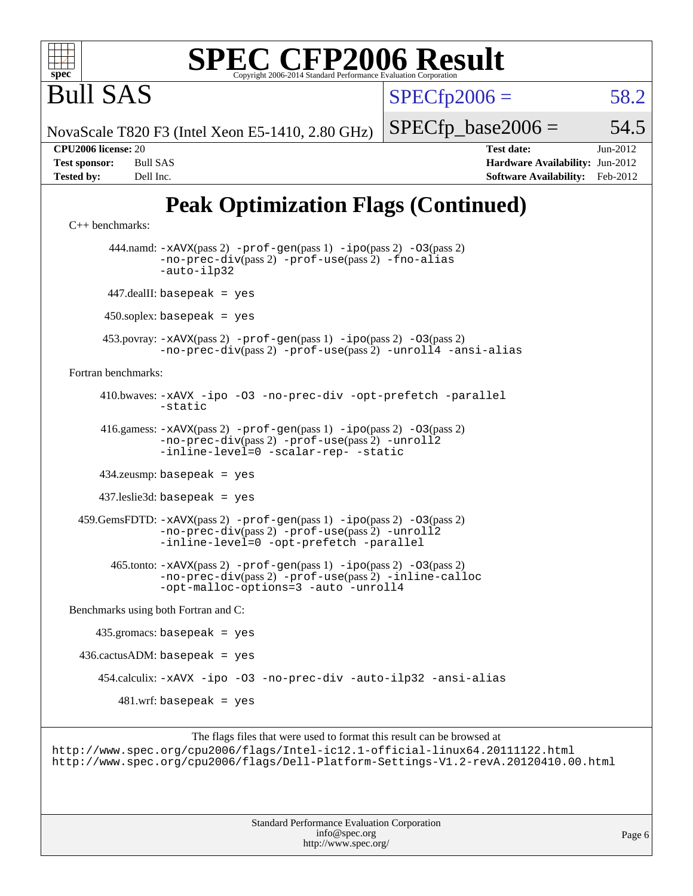

# **[SPEC CFP2006 Result](http://www.spec.org/auto/cpu2006/Docs/result-fields.html#SPECCFP2006Result)**

 $SPECfp2006 = 58.2$  $SPECfp2006 = 58.2$ 

NovaScale T820 F3 (Intel Xeon E5-1410, 2.80 GHz)

 $SPECTp\_base2006 = 54.5$ 

Bull SAS

**[CPU2006 license:](http://www.spec.org/auto/cpu2006/Docs/result-fields.html#CPU2006license)** 20 **[Test date:](http://www.spec.org/auto/cpu2006/Docs/result-fields.html#Testdate)** Jun-2012 **[Test sponsor:](http://www.spec.org/auto/cpu2006/Docs/result-fields.html#Testsponsor)** Bull SAS **[Hardware Availability:](http://www.spec.org/auto/cpu2006/Docs/result-fields.html#HardwareAvailability)** Jun-2012 **[Tested by:](http://www.spec.org/auto/cpu2006/Docs/result-fields.html#Testedby)** Dell Inc. **[Software Availability:](http://www.spec.org/auto/cpu2006/Docs/result-fields.html#SoftwareAvailability)** Feb-2012

# **[Peak Optimization Flags \(Continued\)](http://www.spec.org/auto/cpu2006/Docs/result-fields.html#PeakOptimizationFlags)**

```
C++ benchmarks: 
        444.namd: -xAVX(pass 2) -prof-gen(pass 1) -ipo(pass 2) -O3(pass 2)
               -no-prec-div(pass 2) -prof-use(pass 2) -fno-alias
               -auto-ilp32
       447.dealII: basepeak = yes
      450.soplex: basepeak = yes
      453.povray: -xAVX(pass 2) -prof-gen(pass 1) -ipo(pass 2) -O3(pass 2)
               -no-prec-div(pass 2) -prof-use(pass 2) -unroll4 -ansi-alias
Fortran benchmarks: 
      410.bwaves: -xAVX -ipo -O3 -no-prec-div -opt-prefetch -parallel
               -static
      416.gamess: -xAVX(pass 2) -prof-gen(pass 1) -ipo(pass 2) -O3(pass 2)
                -no-prec-div(pass 2) -prof-use(pass 2) -unroll2
               -inline-level=0-scalar-rep--static
      434.zeusmp: basepeak = yes
      437.leslie3d: basepeak = yes
  459.GemsFDTD: -xAVX(pass 2) -prof-gen(pass 1) -ipo(pass 2) -O3(pass 2)
               -no-prec-div(pass 2) -prof-use(pass 2) -unroll2
               -inline-level=0 -opt-prefetch -parallel
        465.tonto: -xAVX(pass 2) -prof-gen(pass 1) -ipo(pass 2) -O3(pass 2)
               -no-prec-div(pass 2) -prof-use(pass 2) -inline-calloc
               -opt-malloc-options=3 -auto -unroll4
Benchmarks using both Fortran and C: 
     435.gromacs: basepeak = yes
 436.cactusADM: basepeak = yes 454.calculix: -xAVX -ipo -O3 -no-prec-div -auto-ilp32 -ansi-alias
        481.wrf: basepeak = yes
```
The flags files that were used to format this result can be browsed at <http://www.spec.org/cpu2006/flags/Intel-ic12.1-official-linux64.20111122.html> <http://www.spec.org/cpu2006/flags/Dell-Platform-Settings-V1.2-revA.20120410.00.html>